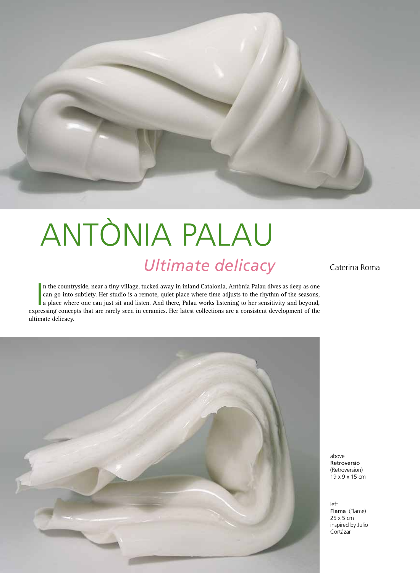

## *Ultimate delicacy* Caterina Roma ANTÒNIA PALAU

In the countryside, near a tiny village, tucked away in inland Catalonia, Antònia Palau dives as deep as one can go into subtlety. Her studio is a remote, quiet place where time adjusts to the rhythm of the seasons, a plac n the countryside, near a tiny village, tucked away in inland Catalonia, Antònia Palau dives as deep as one can go into subtlety. Her studio is a remote, quiet place where time adjusts to the rhythm of the seasons, a place where one can just sit and listen. And there, Palau works listening to her sensitivity and beyond, ultimate delicacy.



above Retroversió (Retroversion) 19 x 9 x 15 cm

left Flama (Flame) 25 x 5 cm inspired by Julio Cortázar